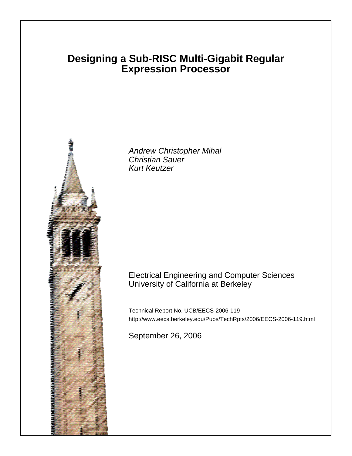# **Designing a Sub-RISC Multi-Gigabit Regular Expression Processor**



Andrew Christopher Mihal Christian Sauer Kurt Keutzer

## Electrical Engineering and Computer Sciences University of California at Berkeley

Technical Report No. UCB/EECS-2006-119 http://www.eecs.berkeley.edu/Pubs/TechRpts/2006/EECS-2006-119.html

September 26, 2006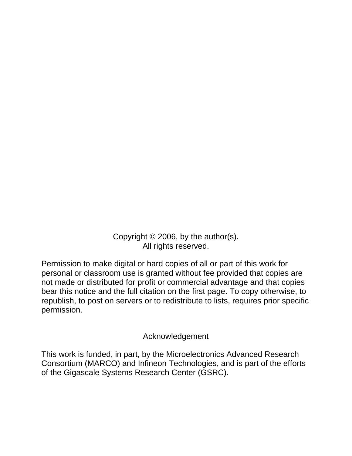Copyright © 2006, by the author(s). All rights reserved.

Permission to make digital or hard copies of all or part of this work for personal or classroom use is granted without fee provided that copies are not made or distributed for profit or commercial advantage and that copies bear this notice and the full citation on the first page. To copy otherwise, to republish, to post on servers or to redistribute to lists, requires prior specific permission.

# Acknowledgement

This work is funded, in part, by the Microelectronics Advanced Research Consortium (MARCO) and Infineon Technologies, and is part of the efforts of the Gigascale Systems Research Center (GSRC).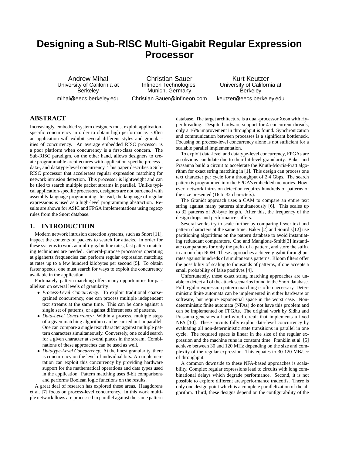# **Designing a Sub-RISC Multi-Gigabit Regular Expression Processor**

Andrew Mihal University of California at **Berkeley** mihal@eecs.berkeley.edu

Christian Sauer Infineon Technologies, Munich, Germany Christian.Sauer@infineon.com

Kurt Keutzer University of California at Berkeley keutzer@eecs.berkeley.edu

## **ABSTRACT**

Increasingly, embedded system designers must exploit applicationspecific concurrency in order to obtain high performance. Often an application will exhibit several different styles and granularities of concurrency. An average embedded RISC processor is a poor platform when concurrency is a first-class concern. The Sub-RISC paradigm, on the other hand, allows designers to create programmable architectures with application-specific process-, data-, and datatype-level concurrency. This paper describes a Sub-RISC processor that accelerates regular expression matching for network intrusion detection. This processor is lightweight and can be tiled to search multiple packet streams in parallel. Unlike typical application-specific processors, designers are not burdened with assembly language programming. Instead, the language of regular expressions is used as a high-level programming abstraction. Results are shown for ASIC and FPGA implementations using regexp rules from the Snort database.

### **1. INTRODUCTION**

Modern network intrusion detection systems, such as Snort [11], inspect the contents of packets to search for attacks. In order for these systems to work at multi-gigabit line rates, fast pattern matching techniques are needed. General-purpose processors operating at gigahertz frequencies can perform regular expression matching at rates up to a few hundred kilobytes per second [5]. To obtain faster speeds, one must search for ways to exploit the concurrency available in the application.

Fortunately, pattern matching offers many opportunities for parallelism on several levels of granularity:

- *Process-Level Concurrency:* To exploit traditional coarsegrained concurrency, one can process multiple independent text streams at the same time. This can be done against a single set of patterns, or against different sets of patterns.
- *Data-Level Concurrency:* Within a process, multiple steps of a given matching algorithm can be carried out in parallel. One can compare a single text character against multiple pattern characters simultaneously. Conversely, one could search for a given character at several places in the stream. Combinations of these approaches can be used as well.
- *Datatype-Level Concurrency:* At the finest granularity, there is concurrency on the level of individual bits. An implementation can exploit this concurrency by providing hardware support for the mathematical operations and data types used in the application. Pattern matching uses 8-bit comparisons and performs Boolean logic functions on the results.

A great deal of research has explored these areas. Haagdorens et al. [7] focus on process-level concurrency. In this work multiple network flows are processed in parallel against the same pattern database. The target architecture is a dual-processor Xeon with Hyperthreading. Despite hardware support for 4 concurrent threads, only a 16% improvement in throughput is found. Synchronization and communication between processes is a significant bottleneck. Focusing on process-level concurrency alone is not sufficient for a scalable parallel implementation.

To exploit data-level and datatype-level concurrency, FPGAs are an obvious candidate due to their bit-level granularity. Baker and Prasanna build a circuit to accelerate the Knuth-Morris-Pratt algorithm for exact string matching in [1]. This design can process one text character per cycle for a throughput of 2.4 Gbps. The search pattern is programmed into the FPGA's embedded memories. However, network intrusion detection requires hundreds of patterns of the size presented (16 to 32 characters).

The Granidt approach uses a CAM to compare an entire text string against many patterns simultaneously [6]. This scales up to 32 patterns of 20-byte length. After this, the frequency of the design drops and performance suffers.

Several works try to scale further by comparing fewer text and pattern characters at the same time. Baker [2] and Sourdis[12] use partitioning algorithms on the pattern database to avoid instantiating redundant comparators. Cho and Mangione-Smith[3] instantiate comparators for only the prefix of a pattern, and store the suffix in an on-chip ROM. These approaches achieve gigabit throughput rates against hundreds of simultaneous patterns. Bloom filters offer the possibility of scaling to thousands of patterns, if one accepts a small probability of false positives [4].

Unfortunately, these exact string matching approaches are unable to detect all of the attack scenarios found in the Snort database. Full regular expression pattern matching is often necessary. Deterministic finite automata can be implemented in either hardware or software, but require exponential space in the worst case. Nondeterministic finite automata (NFAs) do not have this problem and can be implemented on FPGAs. The original work by Sidhu and Prasanna generates a hard-wired circuit that implements a fixed NFA [10]. These circuits fully exploit data-level concurrency by evaluating all non-deterministic state transitions in parallel in one cycle. The required space is linear in the size of the regular expression and the machine runs in constant time. Franklin et al. [5] achieve between 30 and 120 MHz depending on the size and complexity of the regular expression. This equates to 30-120 MB/sec of throughput.

A common downside to these NFA-based approaches is scalability. Complex regular expressions lead to circuits with long combinational delays which degrade performance. Second, it is not possible to explore different area/performance tradeoffs. There is only one design point which is a complete parallelization of the algorithm. Third, these designs depend on the configurability of the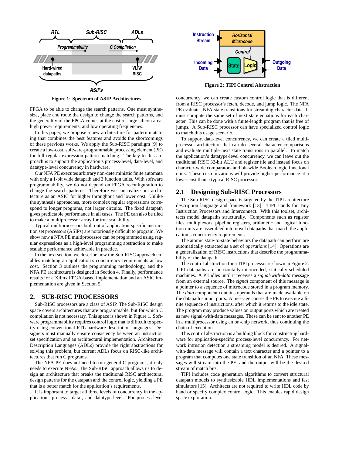

**Figure 1: Spectrum of ASIP Architectures**

FPGA to be able to change the search patterns. One must synthesize, place and route the design to change the search patterns, and the generality of the FPGA comes at the cost of large silicon area, high power requirements, and low operating frequencies.

In this paper, we propose a new architecture for pattern matching that combines the best features and avoids the shortcomings of these previous works. We apply the Sub-RISC paradigm [9] to create a low-cost, software-programmable processing element (PE) for full regular expression pattern matching. The key to this approach is to support the application's process-level, data-level, and datatype-level concurrency in hardware.

Our NFA PE executes arbitrary non-deterministic finite automata with only a 1-bit wide datapath and 3 function units. With software programmability, we do not depend on FPGA reconfiguration to change the search patterns. Therefore we can realize our architecture as an ASIC for higher throughput and lower cost. Unlike the synthesis approaches, more complex regular expressions correspond to longer programs, not larger circuits. The fixed datapath gives predictable performance in all cases. The PE can also be tiled to make a multiprocessor array for true scalability.

Typical multiprocessors built out of application-specific instruction set processors (ASIPs) are notoriously difficult to program. We show how a NFA PE multiprocessor can be programmed using regular expressions as a high-level programming abstraction to make scalable performance achievable in practice.

In the next section, we describe how the Sub-RISC approach enables matching an application's concurrency requirements at low cost. Section 3 outlines the programming methodology, and the NFA PE architecture is designed in Section 4. Finally, performance results for a Xilinx FPGA-based implementation and an ASIC implementation are given in Section 5.

### **2. SUB-RISC PROCESSORS**

Sub-RISC processors are a class of ASIP. The Sub-RISC design space covers architectures that are programmable, but for which C compilation is not necessary. This space is shown in Figure 1. Software programmability requires control logic that is difficult to specify using conventional RTL hardware description languages. Designers must manually ensure consistency between an instruction set specification and an architectural implementation. Architecture Description Languages (ADLs) provide the right abstractions for solving this problem, but current ADLs focus on RISC-like architectures that run C programs.

The NFA PE does not need to run general C programs, it only needs to execute NFAs. The Sub-RISC approach allows us to design an architecture that breaks the traditional RISC architectural design patterns for the datapath and the control logic, yielding a PE that is a better match for the application's requirements.

It is important to target all three levels of concurrency in the application: process-, data-, and datatype-level. For process-level



**Figure 2: TIPI Control Abstraction**

concurrency, we can create custom control logic that is different from a RISC processor's fetch, decode, and jump logic. The NFA PE evaluates NFA state transitions for streaming character data. It must compute the same set of next state equations for each character. This can be done with a finite-length program that is free of jumps. A Sub-RISC processor can have specialized control logic to match this usage scenario.

To support data-level concurrency, we can create a tiled multiprocessor architecture that can do several character comparisons and evaluate multiple next state transitions in parallel. To match the application's datatype-level concurrency, we can leave out the traditional RISC 32-bit ALU and register file and instead focus on character-wide comparators and bit-wide Boolean logic functional units. These customizations will provide higher performance at a lower cost than a typical RISC processor.

#### **2.1 Designing Sub-RISC Processors**

The Sub-RISC design space is targeted by the TIPI architecture description language and framework [13]. TIPI stands for Tiny Instruction Processors and Interconnect. With this toolset, architects model datapaths structurally. Components such as register files, multiplexors, pipeline registers, arithmetic and logical function units are assembled into novel datapaths that match the application's concurrency requirements.

The atomic state-to-state behaviors the datapath can perform are automatically extracted as a set of *operations* [14]. Operations are a generalization of RISC instructions that describe the programmability of the datapath.

The control abstraction for a TIPI processor is shown in Figure 2. TIPI datapaths are horizontally-microcoded, statically-scheduled machines. A PE idles until it receives a *signal-with-data* message from an external source. The *signal* component of this message is a pointer to a sequence of microcode stored in a program memory. The *data* component contains operands that are made available on the datapath's input ports. A message causes the PE to execute a finite sequence of instructions, after which it returns to the idle state. The program may produce values on output ports which are treated as new signal-with-data messages. These can be sent to another PE in a multiprocessor using an on-chip network, thus continuing the chain of execution.

This control abstraction is a building block for constructing hardware for application-specific process-level concurrency. For network intrusion detection a streaming model is desired. A signalwith-data message will contain a text character and a pointer to a program that computes one state transition of an NFA. These messages will stream into the PE, and the output will be the desired stream of match bits.

TIPI includes code generation algorithms to convert structural datapath models to synthesizable HDL implementations and fast simulators [15]. Architects are not required to write HDL code by hand or specify complex control logic. This enables rapid design space exploration.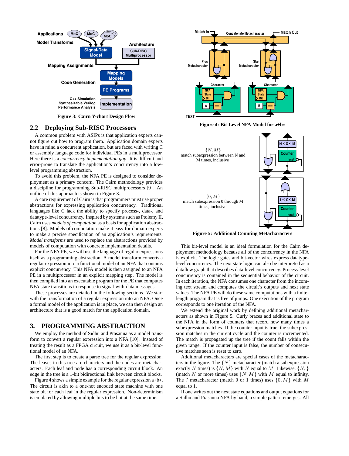

**Figure 3: Cairn Y-chart Design Flow**

#### **2.2 Deploying Sub-RISC Processors**

A common problem with ASIPs is that application experts cannot figure out how to program them. Application domain experts have in mind a concurrent application, but are faced with writing C or assembly language code for individual PEs in a multiprocessor. Here there is a *concurrency implementation gap*. It is difficult and error-prone to translate the application's concurrency into a lowlevel programming abstraction.

To avoid this problem, the NFA PE is designed to consider deployment as a primary concern. The Cairn methodology provides a discipline for programming Sub-RISC multiprocessors [9]. An outline of this approach is shown in Figure 3.

A core requirement of Cairn is that programmers must use proper abstractions for expressing application concurrency. Traditional languages like C lack the ability to specify process-, data-, and datatype-level concurrency. Inspired by systems such as Ptolemy II, Cairn uses *models of computation* as a basis for application abstractions [8]. Models of computation make it easy for domain experts to make a precise specification of an application's requirements. *Model transforms* are used to replace the abstractions provided by models of computation with concrete implementation details.

For the NFA PE, we will use the language of regular expressions itself as a programming abstraction. A model transform converts a regular expression into a functional model of an NFA that contains explicit concurrency. This NFA model is then assigned to an NFA PE in a multiprocessor in an explicit mapping step. The model is then compiled into an executable program for the PE that computes NFA state transitions in response to signal-with-data messages.

These processes are detailed in the following sections. We start with the transformation of a regular expression into an NFA. Once a formal model of the application is in place, we can then design an architecture that is a good match for the application domain.

#### **3. PROGRAMMING ABSTRACTION**

We employ the method of Sidhu and Prasanna as a model transform to convert a regular expression into a NFA [10]. Instead of treating the result as a FPGA circuit, we use it as a bit-level functional model of an NFA.

The first step is to create a parse tree for the regular expression. The leaves in this tree are characters and the nodes are metacharacters. Each leaf and node has a corresponding circuit block. An edge in the tree is a 1-bit bidirectional link between circuit blocks.

Figure 4 shows a simple example for the regular expression a+b∗. The circuit is akin to a one-hot encoded state machine with one state bit for each leaf in the regular expression. Non-determinism is emulated by allowing multiple bits to be hot at the same time.



**Figure 4: Bit-Level NFA Model for a+b**∗



**Figure 5: Additional Counting Metacharacters**

This bit-level model is an ideal formulation for the Cairn deployment methodology because all of the concurrency in the NFA is explicit. The logic gates and bit-vector wires express datatypelevel concurrency. The next state logic can also be interpreted as a dataflow graph that describes data-level concurrency. Process-level concurrency is contained in the sequential behavior of the circuit. In each iteration, the NFA consumes one character from the incoming text stream and computes the circuit's outputs and next state values. The NFA PE will do these same computations with a finitelength program that is free of jumps. One execution of the program corresponds to one iteration of the NFA.

We extend the original work by defining additional metacharacters as shown in Figure 5. Curly braces add additional state to the NFA in the form of counters that record how many times a subexpression matches. If the counter input is true, the subexpression matches in the current cycle and the counter is incremented. The match is propagated up the tree if the count falls within the given range. If the counter input is false, the number of consecutive matches seen is reset to zero.

Additional metacharacters are special cases of the metacharacters in the figure. The  $\{N\}$  metacharacter (match a subexpression exactly N times) is  $\{N, M\}$  with N equal to M. Likewise,  $\{N, \}$ (match N or more times) uses  $\{N, M\}$  with M equal to infinity. The ? metacharacter (match 0 or 1 times) uses  $\{0, M\}$  with M equal to 1.

If one writes out the next state equations and output equations for a Sidhu and Prasanna NFA by hand, a simple pattern emerges. All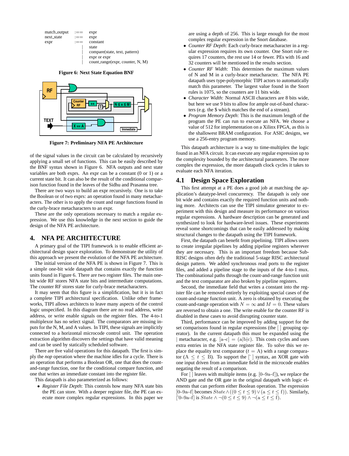

**Figure 6: Next State Equation BNF**



**Figure 7: Preliminary NFA PE Architecture**

of the signal values in the circuit can be calculated by recursively applying a small set of functions. This can be easily described by the BNF syntax shown in Figure 6. NFA outputs and next state variables are both exprs. An expr can be a constant (0 or 1) or a current state bit. It can also be the result of the conditional comparison function found in the leaves of the Sidhu and Prasanna tree.

There are two ways to build an expr recursively. One is to take the Boolean or of two exprs: an operation found in many metacharacters. The other is to apply the count and range functions found in the curly-brace metacharacters to an expr.

These are the only operations necessary to match a regular expression. We use this knowledge in the next section to guide the design of the NFA PE architecture.

#### **4. NFA PE ARCHITECTURE**

A primary goal of the TIPI framework is to enable efficient architectural design space exploration. To demonstrate the utility of this approach we present the evolution of the NFA PE architecture.

The initial version of the NFA PE is shown in Figure 7. This is a simple one-bit wide datapath that contains exactly the function units found in Figure 6. There are two register files. The main onebit wide RF stores NFA state bits and intermediate computations. The counter RF stores state for curly-brace metacharacters.

It may seem that this figure is a simplification, but it is in fact a complete TIPI architectural specification. Unlike other frameworks, TIPI allows architects to leave many aspects of the control logic unspecified. In this diagram there are no read address, write address, or write enable signals on the register files. The 4-to-1 multiplexor has no select signal. The comparators are missing inputs for the N, M, and A values. In TIPI, these signals are implicitly connected to a horizontal microcode control unit. The operation extraction algorithm discovers the settings that have valid meaning and can be used by statically scheduled software.

There are five valid operations for this datapath. The first is simply the *nop* operation where the machine idles for a cycle. There is an operation that performs a Boolean OR, one that does the countand-range function, one for the conditional compare function, and one that writes an immediate constant into the register file.

This datapath is also parameterized as follows:

• *Register File Depth*: This controls how many NFA state bits the PE can store. With a deeper register file, the PE can execute more complex regular expressions. In this paper we are using a depth of 256. This is large enough for the most complex regular expression in the Snort database.

- *Counter RF Depth*: Each curly-brace metacharacter in a regular expression requires its own counter. One Snort rule requires 17 counters, the rest use 14 or fewer. PEs with 16 and 32 counters will be mentioned in the results section.
- *Counter RF Width*: This determines the maximum values of N and M in a curly-brace metacharacter. The NFA PE datapath uses type-polymorphic TIPI actors to automatically match this parameter. The largest value found in the Snort rules is 1075, so the counters are 11 bits wide.
- *Character Width*: Normal ASCII characters are 8 bits wide, but here we use 9 bits to allow for ample out-of-band characters (e.g. the \$ which matches the end of a stream).
- *Program Memory Depth*: This is the maximum length of the program the PE can run to execute an NFA. We choose a value of 512 for implementation on a Xilinx FPGA, as this is the shallowest BRAM configuration. For ASIC designs, we use a 256-entry program memory.

This datapath architecture is a way to time-multiplex the logic found in an NFA circuit. It can execute any regular expression up to the complexity bounded by the architectural parameters. The more complex the expression, the more datapath clock cycles it takes to evaluate each NFA iteration.

#### **4.1 Design Space Exploration**

This first attempt at a PE does a good job at matching the application's datatype-level concurrency. The datapath is only one bit wide and contains exactly the required function units and nothing more. Architects can use the TIPI simulator generator to experiment with this design and measure its performance on various regular expressions. A hardware description can be generated and synthesized to look for hardware-level issues. These experiments reveal some shortcomings that can be easily addressed by making structural changes to the datapath using the TIPI framework.

First, the datapath can benefit from pipelining. TIPI allows users to create irregular pipelines by adding pipeline registers wherever they are necessary. This is an important freedom because Sub-RISC designs often defy the traditional 5-stage RISC architectural design pattern. We added synchronous read ports to the register files, and added a pipeline stage to the inputs of the 4-to-1 mux. The combinational paths through the count-and-range function unit and the text comparator are also broken by pipeline registers.

Second, the immediate field that writes a constant into the register file can be removed entirely by exploiting special cases of the count-and-range function unit. A zero is obtained by executing the count-and-range operation with  $N = \infty$  and  $M = 0$ . These values are reversed to obtain a one. The write enable for the counter RF is disabled in these cases to avoid disrupting counter state.

Third, performance can be improved by adding support for the set comparisons found in regular expressions (the [ ] grouping operator). In the current datapath this must be expanded using the | metacharacter, e.g.  $[a-c] = (a|b|c)$ . This costs cycles and uses extra entries in the NFA state register file. To solve this we replace the equality text comparator  $(t = A)$  with a range comparator  $(A \leq t \leq B)$ . To support the  $\lceil \cdot \rceil$  syntax, an XOR gate with one input driven from an immediate field in the microcode enables negating the result of a comparison.

For  $\lceil$  ] leaves with multiple items (e.g.  $[0-9a-f]$ ), we replace the AND gate and the OR gate in the original datapath with logic elements that can perform either Boolean operation. The expression [0–9a–f] becomes  $State \wedge ((0 \leq t \leq 9) \vee (a \leq t \leq f))$ . Similarly, [<sup> $\big[0-9a-f\big]$ </sup> is  $State \wedge \neg (0 \leq t \leq 9) \wedge \neg (a \leq t \leq f).$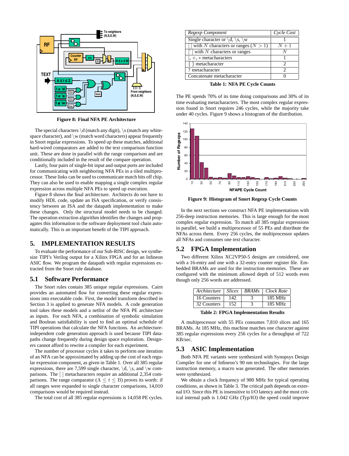

**Figure 8: Final NFA PE Architecture**

The special characters  $\dagger$  (match any digit),  $\s$  (match any whitespace character), and  $\wedge w$  (match word characters) appear frequently in Snort regular expressions. To speed up these matches, additional hard-wired comparators are added to the text comparison function unit. These are done in parallel with the range comparison and are conditionally included in the result of the compare operation.

Lastly, four pairs of single-bit input and output ports are included for communicating with neighboring NFA PEs in a tiled multiprocessor. These links can be used to communicate match bits off chip. They can also be used to enable mapping a single complex regular expression across multiple NFA PEs to speed up execution.

Figure 8 shows the final architecture. Architects do not have to modify HDL code, update an ISA specification, or verify consistency between an ISA and the datapath implementation to make these changes. Only the structural model needs to be changed. The operation extraction algorithm identifies the changes and propagates this information to the software deployment tool chain automatically. This is an important benefit of the TIPI approach.

#### **5. IMPLEMENTATION RESULTS**

To evaluate the performance of our Sub-RISC design, we synthesize TIPI's Verilog output for a Xilinx FPGA and for an Infineon ASIC flow. We program the datapath with regular expressions extracted from the Snort rule database.

#### **5.1 Software Performance**

The Snort rules contain 385 unique regular expressions. Cairn provides an automated flow for converting these regular expressions into executable code. First, the model transform described in Section 3 is applied to generate NFA models. A code generation tool takes these models and a netlist of the NFA PE architecture as inputs. For each NFA, a combination of symbolic simulation and Boolean satisfiability is used to find an optimal schedule of TIPI operations that calculate the NFA functions. An architectureindependent code generation approach is used because TIPI datapaths change frequently during design space exploration. Designers cannot afford to rewrite a compiler for each experiment.

The number of processor cycles it takes to perform one iteration of an NFA can be approximated by adding up the cost of each regular expression component, as given in Table 1. Over all 385 regular expressions, there are 7,599 single character,  $\dagger d$ ,  $\s$ , and  $\wedge w$  comparisons. The [ ] metacharacters require an additional 2,354 comparisons. The range comparator  $(A \le t \le B)$  proves its worth: if all ranges were expanded to single character comparisons, 14,010 comparisons would be required instead.

The total cost of all 385 regular expressions is 14,058 PE cycles.

| Regexp Component                                                     | Cycle Cost |
|----------------------------------------------------------------------|------------|
| Single character or $\backslash d$ , $\backslash s$ , $\backslash w$ |            |
| with N characters or ranges $(N > 1)$                                | $N+1$      |
| $\lceil \cdot \rceil$ with N characters or ranges                    |            |
| $\vert, +, *$ metacharacters                                         |            |
| $\{\}$ metacharacter                                                 |            |
| ? metacharacter                                                      |            |
| Concatenate metacharacter                                            |            |

**Table 1: NFA PE Cycle Counts**

The PE spends 70% of its time doing comparisons and 30% of its time evaluating metacharacters. The most complex regular expression found in Snort requires 246 cycles, while the majority take under 40 cycles. Figure 9 shows a histogram of the distribution.



**Figure 9: Histogram of Snort Regexp Cycle Counts**

In the next sections we construct NFA PE implementations with 256-deep instruction memories. This is large enough for the most complex regular expression. To match all 385 regular expressions in parallel, we build a multiprocessor of 55 PEs and distribute the NFAs across them. Every 256 cycles, the multiprocessor updates all NFAs and consumes one text character.

#### **5.2 FPGA Implementation**

Two different Xilinx XC2VP50-5 designs are considered, one with a 16-entry and one with a 32-entry counter register file. Embedded BRAMs are used for the instruction memories. These are configured with the minimum allowed depth of 512 words even though only 256 words are addressed.

| Architecture     | <i>Slices</i> |  | <b>BRAMs</b>   Clock Rate |  |  |  |
|------------------|---------------|--|---------------------------|--|--|--|
| 16 Counters      | 142           |  | 185 MHz                   |  |  |  |
| 32 Counters      | 152           |  | 185 MHz                   |  |  |  |
| . <del>. .</del> |               |  |                           |  |  |  |

**Table 2: FPGA Implementation Results**

A multiprocessor with 55 PEs consumes 7,810 slices and 165 BRAMs. At 185 MHz, this machine matches one character against 385 regular expressions every 256 cycles for a throughput of 722 KB/sec.

#### **5.3 ASIC Implementation**

Both NFA PE variants were synthesized with Synopsys Design Compiler for one of Infineon's 90 nm technologies. For the large instruction memory, a macro was generated. The other memories were synthesized.

We obtain a clock frequency of 980 MHz for typical operating conditions, as shown in Table 3. The critical path depends on external I/O. Since this PE is insensitive to I/O latency and the most critical internal path is 1.042 GHz (Typ/IO) the speed could improve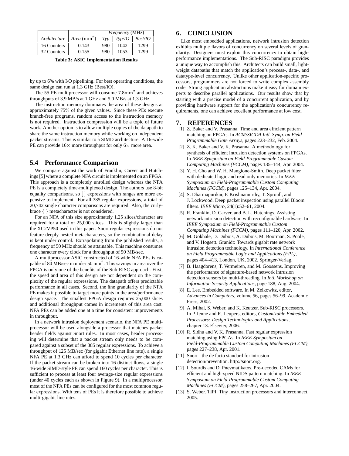|              |                                | <i>Frequency</i> (MHz) |         |         |
|--------------|--------------------------------|------------------------|---------|---------|
| Architecture | <i>Area</i> (mm <sup>2</sup> ) | Typ                    | Tv p/IO | Best/IO |
| 16 Counters  | 0.143                          | 980                    | 1042    | 1299    |
| 32 Counters  | 0.155                          | 980                    | 1053    | 1299    |

**Table 3: ASIC Implementation Results**

by up to 6% with I/O pipelining. For best operating conditions, the same design can run at 1.3 GHz (Best/IO).

The 55 PE multiprocessor will consume  $7.8 \text{mm}^2$  and achieves throughputs of 3.9 MB/s at 1 GHz and 5.0 MB/s at 1.3 GHz.

The instruction memory dominates the area of these designs at approximately 75% of the given values. Since these PEs execute branch-free programs, random access to the instruction memory is not required. Instruction compression will be a topic of future work. Another option is to allow multiple copies of the datapath to share the same instruction memory while working on independent packet streams. This is similar to a SIMD architecture. A 16-wide PE can provide  $16\times$  more throughput for only  $6\times$  more area.

#### **5.4 Performance Comparison**

We compare against the work of Franklin, Carver and Hutchings [5] where a complete NFA circuit is implemented on an FPGA. This approach is a completely unrolled design whereas the NFA PE is a completely time-multiplexed design. The authors use 8-bit equality comparisons, so [ ] expressions with ranges are more expensive to implement. For all 385 regular expressions, a total of 20,742 single character comparisons are required. Also, the curlybrace { } metacharacter is not considered.

For an NFA of this size approximately 1.25 slices/character are required for a total of 25,000 slices. This is slightly larger than the XC2VP50 used in this paper. Snort regular expressions do not feature deeply nested metacharacters, so the combinational delay is kept under control. Extrapolating from the published results, a frequency of 50 MHz should be attainable. This machine consumes one character every clock for a throughput of 50 MB/sec.

A multiprocessor ASIC constructed of 16-wide NFA PEs is capable of 80 MB/sec in under 50 mm<sup>2</sup>. This savings in area over the FPGA is only one of the benefits of the Sub-RISC approach. First, the speed and area of this design are not dependent on the complexity of the regular expressions. The datapath offers predictable performance in all cases. Second, the fine granularity of the NFA PE makes it possible to target more points in the area/performance design space. The smallest FPGA design requires 25,000 slices and additional throughput comes in increments of this area cost. NFA PEs can be added one at a time for consistent improvements in throughput.

In a network intrusion deployment scenario, the NFA PE multiprocessor will be used alongside a processor that matches packet header fields against Snort rules. In most cases, header processing will determine that a packet stream only needs to be compared against a subset of the 385 regular expressions. To achieve a throughput of 125 MB/sec (for gigabit Ethernet line rate), a single NFA PE at 1.3 GHz can afford to spend 10 cycles per character. If the packet stream can be broken into 16 distinct flows, a single 16-wide SIMD-style PE can spend 160 cycles per character. This is sufficient to process at least four average-size regular expressions (under 40 cycles each as shown in Figure 9). In a multiprocessor, most of the NFA PEs can be configured for the most common regular expressions. With tens of PEs it is therefore possible to achieve multi-gigabit line rates.

### **6. CONCLUSION**

Like most embedded applications, network intrusion detection exhibits multiple flavors of concurrency on several levels of granularity. Designers must exploit this concurrency to obtain highperformance implementations. The Sub-RISC paradigm provides a unique way to accomplish this. Architects can build small, lightweight datapaths that match the application's process-, data-, and datatype-level concurrency. Unlike other application-specific processors, programmers are not forced to write complex assembly code. Strong application abstractions make it easy for domain experts to describe parallel applications. Our results show that by starting with a precise model of a concurrent application, and by providing hardware support for the application's concurrency requirements, one can achieve excellent performance at low cost.

#### **7. REFERENCES**

- [1] Z. Baker and V. Prasanna. Time and area efficient pattern matching on FPGAs. In *ACM/SIGDA Intl. Symp. on Field Programmable Gate Arrays*, pages 223–232, Feb. 2004.
- [2] Z. K. Baker and V. K. Prasanna. A methodology for synthesis of efficient intrusion detection systems on FPGAs. In *IEEE Symposium on Field-Programmable Custom Computing Machines (FCCM)*, pages 135–144, Apr. 2004.
- [3] Y. H. Cho and W. H. Mangione-Smith. Deep packet filter with dedicated logic and read only memories. In *IEEE Symposium on Field-Programmable Custom Computing Machines (FCCM)*, pages 125–134, Apr. 2004.
- [4] S. Dharmapurikar, P. Krishnamurthy, T. Sproull, and J. Lockwood. Deep packet inspection using parallel Bloom filters. *IEEE Micro*, 24(1):52–61, 2004.
- [5] R. Franklin, D. Carver, and B. L. Hutchings. Assisting network intrusion detection with reconfigurable hardware. In *IEEE Symposium on Field-Programmable Custom Computing Machines (FCCM)*, pages 111–120, Apr. 2002.
- [6] M. Gokhale, D. Dubois, A. Dubois, M. Boorman, S. Poole, and V. Hogsett. Granidt: Towards gigabit rate network intrusion detection technology. In *International Conference on Field Programmable Logic and Applications (FPL)*, pages 404–413, London, UK, 2002. Springer-Verlag.
- [7] B. Haagdorens, T. Vermeiren, and M. Goossens. Improving the performance of signature-based network intrusion detection sensors by multi-threading. In *Intl. Workshop on Information Security Applications*, page 188, Aug. 2004.
- [8] E. Lee. Embedded software. In M. Zelkowitz, editor, *Advances in Computers*, volume 56, pages 56–99. Academic Press, 2002.
- [9] A. Mihal, S. Weber, and K. Keutzer. Sub-RISC processors. In P. Ienne and R. Leupers, editors, *Customizable Embedded Processors: Design Technologies and Applications*, chapter 13. Elsevier, 2006.
- [10] R. Sidhu and V. K. Prasanna. Fast regular expression matching using FPGAs. In *IEEE Symposium on Field-Programmable Custom Computing Machines (FCCM)*, pages 227–238, Apr. 2001.
- [11] Snort the de facto standard for intrusion detection/prevention. http://snort.org.
- [12] I. Sourdis and D. Pnevmatikatos. Pre-decoded CAMs for efficient and high-speed NIDS pattern matching. In *IEEE Symposium on Field-Programmable Custom Computing Machines (FCCM)*, pages 258–267, Apr. 2004.
- [13] S. Weber. TIPI: Tiny instruction processors and interconnect. 2005.